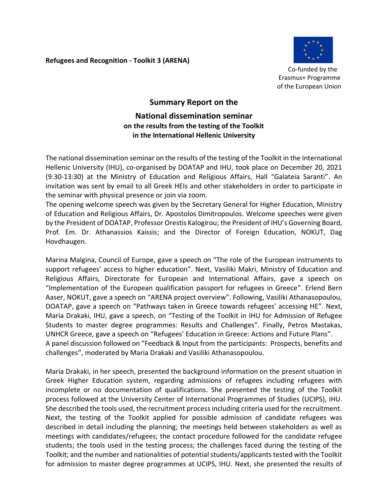**Refugees and Recognition - Toolkit 3 (ARENA)** 



 Co-funded by the Erasmus+ Programme of the European Union

## **Summary Report on the National dissemination seminar on the results from the testing of the Toolkit in the International Hellenic University**

The national dissemination seminar on the results of the testing of the Toolkit in the International Hellenic University (IHU), co-organised by DOATAP and IHU, took place on December 20, 2021 (9:30-13:30) at the Ministry of Education and Religious Affairs, Hall "Galateia Saranti". An invitation was sent by email to all Greek HEIs and other stakeholders in order to participate in the seminar with physical presence or join via zoom.

The opening welcome speech was given by the Secretary General for Higher Education, Ministry of Education and Religious Affairs, Dr. Apostolos Dimitropoulos. Welcome speeches were given by the President of DOATAP, Professor Orestis Kalogirou; the President of IHU's Governing Board, Prof. Em. Dr. Athanassios Kaissis; and the Director of Foreign Education, NOKUT, Dag Hovdhaugen.

Marina Malgina, Council of Europe, gave a speech on "The role of the European instruments to support refugees' access to higher education". Next, Vasiliki Makri, Ministry of Education and Religious Affairs, Directorate for European and International Affairs, gave a speech on "Implementation of the European qualification passport for refugees in Greece". Erlend Bern Aaser, NOKUT, gave a speech on "ARENA project overview". Following, Vasiliki Athanasopoulou, DOATAP, gave a speech on "Pathways taken in Greece towards refugees' accessing HE". Next, Maria Drakaki, IHU, gave a speech, on "Testing of the Toolkit in IHU for Admission of Refugee Students to master degree programmes: Results and Challenges". Finally, Petros Mastakas, UNHCR Greece, gave a speech on "Refugees' Education in Greece: Actions and Future Plans". A panel discussion followed on "Feedback & Input from the participants: Prospects, benefits and challenges", moderated by Maria Drakaki and Vasiliki Athanasopoulou.

Maria Drakaki, in her speech, presented the background information on the present situation in Greek Higher Education system, regarding admissions of refugees including refugees with incomplete or no documentation of qualifications. She presented the testing of the Toolkit process followed at the University Center of International Programmes of Studies (UCIPS), IHU. She described the tools used, the recruitment process including criteria used for the recruitment. Next, the testing of the Toolkit applied for possible admission of candidate refugees was described in detail including the planning; the meetings held between stakeholders as well as meetings with candidates/refugees; the contact procedure followed for the candidate refugee students; the tools used in the testing process; the challenges faced during the testing of the Toolkit; and the number and nationalities of potential students/applicants tested with the Toolkit for admission to master degree programmes at UCIPS, IHU. Next, she presented the results of